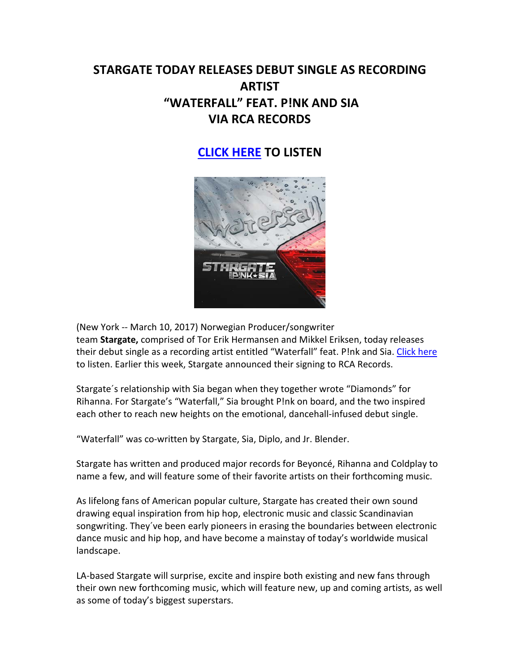# **STARGATE TODAY RELEASES DEBUT SINGLE AS RECORDING ARTIST "WATERFALL" FEAT. P!NK AND SIA VIA RCA RECORDS**

# **[CLICK HERE](http://smarturl.it/WATERFALLps) TO LISTEN**



(New York -- March 10, 2017) Norwegian Producer/songwriter team **Stargate,** comprised of Tor Erik Hermansen and Mikkel Eriksen, today releases their debut single as a recording artist entitled "Waterfall" feat. P!nk and Sia. [Click here](http://smarturl.it/WATERFALLps) to listen. Earlier this week, Stargate announced their signing to RCA Records.

Stargate´s relationship with Sia began when they together wrote "Diamonds" for Rihanna. For Stargate's "Waterfall," Sia brought P!nk on board, and the two inspired each other to reach new heights on the emotional, dancehall-infused debut single.

"Waterfall" was co-written by Stargate, Sia, Diplo, and Jr. Blender.

Stargate has written and produced major records for Beyoncé, Rihanna and Coldplay to name a few, and will feature some of their favorite artists on their forthcoming music.

As lifelong fans of American popular culture, Stargate has created their own sound drawing equal inspiration from hip hop, electronic music and classic Scandinavian songwriting. They´ve been early pioneers in erasing the boundaries between electronic dance music and hip hop, and have become a mainstay of today's worldwide musical landscape.

LA-based Stargate will surprise, excite and inspire both existing and new fans through their own new forthcoming music, which will feature new, up and coming artists, as well as some of today's biggest superstars.